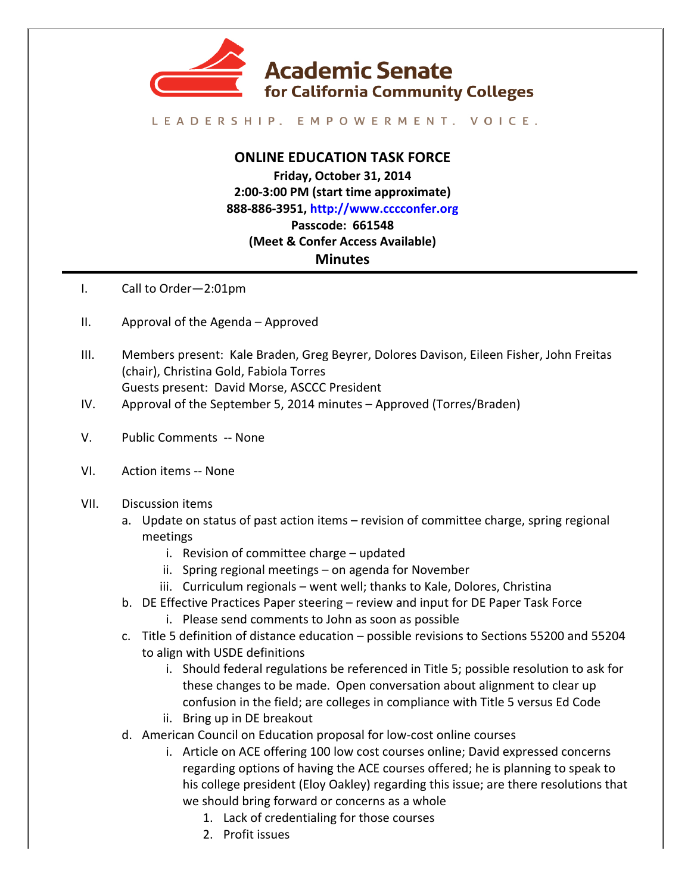

## LEADERSHIP. EMPOWERMENT. VOICE.

## **ONLINE EDUCATION TASK FORCE**

**Friday, October 31, 2014 2:00-3:00 PM (start time approximate) 888-886-3951, http://www.cccconfer.org Passcode: 661548 (Meet & Confer Access Available) Minutes**

- I. Call to Order-2:01pm
- II. Approval of the Agenda  $-$  Approved
- III. Members present: Kale Braden, Greg Beyrer, Dolores Davison, Eileen Fisher, John Freitas (chair), Christina Gold, Fabiola Torres Guests present: David Morse, ASCCC President
- IV. Approval of the September 5, 2014 minutes Approved (Torres/Braden)
- V. Public Comments -- None
- VI. Action items -- None
- VII. Discussion items
	- a. Update on status of past action items revision of committee charge, spring regional meetings
		- $i.$  Revision of committee charge  $-$  updated
		- ii. Spring regional meetings  $-$  on agenda for November
		- iii. Curriculum regionals went well; thanks to Kale, Dolores, Christina
	- b. DE Effective Practices Paper steering review and input for DE Paper Task Force
		- i. Please send comments to John as soon as possible
	- c. Title 5 definition of distance education possible revisions to Sections 55200 and 55204 to align with USDE definitions
		- i. Should federal regulations be referenced in Title 5; possible resolution to ask for these changes to be made. Open conversation about alignment to clear up confusion in the field; are colleges in compliance with Title 5 versus Ed Code
		- ii. Bring up in DE breakout
	- d. American Council on Education proposal for low-cost online courses
		- i. Article on ACE offering 100 low cost courses online; David expressed concerns regarding options of having the ACE courses offered; he is planning to speak to his college president (Eloy Oakley) regarding this issue; are there resolutions that we should bring forward or concerns as a whole
			- 1. Lack of credentialing for those courses
			- 2. Profit issues